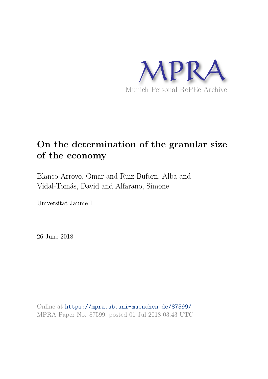

# **On the determination of the granular size of the economy**

Blanco-Arroyo, Omar and Ruiz-Buforn, Alba and Vidal-Tomás, David and Alfarano, Simone

Universitat Jaume I

26 June 2018

Online at https://mpra.ub.uni-muenchen.de/87599/ MPRA Paper No. 87599, posted 01 Jul 2018 03:43 UTC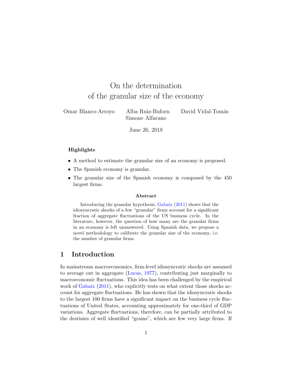# On the determination of the granular size of the economy

| Omar Blanco-Arroyo | Alba Ruiz-Buforn | David Vidal-Tomás |
|--------------------|------------------|-------------------|
|                    | Simone Alfarano  |                   |

June 26, 2018

#### Highlights

- A method to estimate the granular size of an economy is proposed.
- The Spanish economy is granular.
- The granular size of the Spanish economy is composed by the 450 largest firms.

#### Abstract

Introducing the granular hypothesis, Gabaix (2011) shows that the idiosyncratic shocks of a few "granular" firms account for a significant fraction of aggregate fluctuations of the US business cycle. In the literature, however, the question of how many are the granular firms in an economy is left unanswered. Using Spanish data, we propose a novel methodology to calibrate the granular size of the economy, i.e. the number of granular firms.

#### 1 Introduction

In mainstream macroeconomics, firm-level idiosyncratic shocks are assumed to average out in aggregate (Lucas, 1977), contributing just marginally to macroeconomic fluctuations. This idea has been challenged by the empirical work of Gabaix  $(2011)$ , who explicitly tests on what extent those shocks account for aggregate fluctuations. He has shown that the idiosyncratic shocks to the largest 100 firms have a significant impact on the business cycle fluctuations of United States, accounting approximately for one-third of GDP variations. Aggregate fluctuations, therefore, can be partially attributed to the destinies of well identified "grains", which are few very large firms. If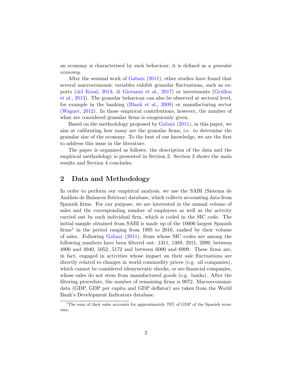an economy is characterised by such behaviour, it is defined as a granular economy.

After the seminal work of Gabaix (2011), other studies have found that several macroeconomic variables exhibit granular fluctuations, such as exports (del Rosal, 2013; di Giovanni et al., 2017) or investments (Grullon et al., 2013). The granular behaviour can also be observed at sectoral level, for example in the banking (Blank et al., 2009) or manufacturing sector (Wagner, 2012). In those empirical contributions, however, the number of what are considered granular firms is exogenously given.

Based on the methodology proposed by Gabaix (2011), in this paper, we aim at calibrating how many are the granular firms, i.e. to determine the granular size of the economy. To the best of our knowledge, we are the first to address this issue in the literature.

The paper is organised as follows: the description of the data and the empirical methodology is presented in Section 2. Section 3 shows the main results and Section 4 concludes.

# 2 Data and Methodology

In order to perform our empirical analysis, we use the SABI (Sistema de Análisis de Balances Ibéricos) database, which collects accounting data from Spanish firms. For our purpose, we are interested in the annual volume of sales and the corresponding number of employees as well as the activity carried out by each individual firm, which is coded in the SIC code. The initial sample obtained from SABI is made up of the 10000 largest Spanish  $\text{firms}^1$  in the period ranging from 1995 to 2016, ranked by their volume of sales. Following Gabaix (2011), firms whose SIC codes are among the following numbers have been filtered out: 1311, 1389, 2911, 2999, between 4900 and 4940, 5052, 5172 and between 6000 and 6999. These firms are, in fact, engaged in activities whose impact on their sale fluctuations are directly related to changes in world commodity prices (e.g. oil companies), which cannot be considered idiosyncratic shocks, or are financial companies, whose sales do not stem from manufactured goods (e.g. banks). After the filtering procedure, the number of remaining firms is 9072. Macroeconomic data (GDP, GDP per capita and GDP deflator) are taken from the World Bank's Development Indicators database.

<sup>&</sup>lt;sup>1</sup>The sum of their sales accounts for approximately 70% of GDP of the Spanish economy.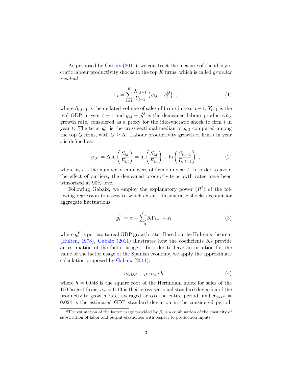As proposed by Gabaix (2011), we construct the measure of the idiosyncratic labour productivity shocks to the top  $K$  firms, which is called *granular* residual:

$$
\Gamma_t = \sum_{i=1}^{K} \frac{S_{i,t-1}}{Y_{t-1}} \left( g_{i,t} - \bar{g}_t^Q \right) , \qquad (1)
$$

where  $S_{i,t-1}$  is the deflated volume of sales of firm i in year  $t-1$ ,  $Y_{t-1}$  is the real GDP in year  $t-1$  and  $g_{i,t} - \bar{g}_t^Q$  $\mathcal{C}_t$  is the demeaned labour productivity growth rate, considered as a proxy for the idiosyncratic shock to firm  $i$  in year t. The term  $\bar{g}_t^Q$  $t_i^Q$  is the cross-sectional median of  $g_{i,t}$  computed among the top Q firms, with  $Q \geq K$ . Labour productivity growth of firm i in year t is defined as:

$$
g_{i,t} := \Delta \ln \left( \frac{S_{i,t}}{E_{i,t}} \right) = \ln \left( \frac{S_{i,t}}{E_{i,t}} \right) - \ln \left( \frac{S_{i,t-1}}{E_{i,t-1}} \right) , \qquad (2)
$$

where  $E_{i,t}$  is the number of employees of firm i in year t. In order to avoid the effect of outliers, the demeaned productivity growth rates have been winsorized at 90% level.

Following Gabaix, we employ the explanatory power  $(R^2)$  of the following regression to assess to which extent idiosyncratic shocks account for aggregate fluctuations:

$$
g_t^Y = \alpha + \sum_{i=0}^2 \beta_i \Gamma_{t-i} + \varepsilon_t , \qquad (3)
$$

where  $g_t^Y$  is per capita real GDP growth rate. Based on the Hulten's theorem (Hulten, 1978), Gabaix (2011) illustrates how the coefficients  $\beta_i$ s provide an estimation of the factor usage.<sup>2</sup> In order to have an intuition for the value of the factor usage of the Spanish economy, we apply the approximate calculation proposed by Gabaix (2011):

$$
\sigma_{GDP} = \mu \cdot \sigma_{\pi} \cdot h \tag{4}
$$

where  $h = 0.048$  is the square root of the Herfindahl index for sales of the 100 largest firms,  $\sigma_{\pi} = 0.13$  is their cross-sectional standard deviation of the productivity growth rate, averaged across the entire period, and  $\sigma_{GDP}$  = 0.024 is the estimated GDP standard deviation in the considered period.

<sup>&</sup>lt;sup>2</sup>The estimation of the factor usage provided by  $\beta_i$  is a combination of the elasticity of substitution of labor and output elasticities with respect to production inputs.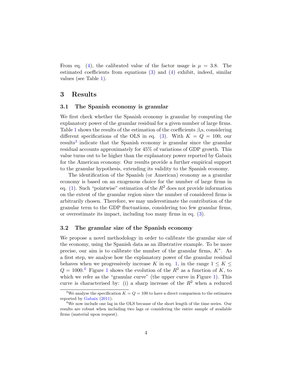From eq. (4), the calibrated value of the factor usage is  $\mu = 3.8$ . The estimated coefficients from equations (3) and (4) exhibit, indeed, similar values (see Table 1).

#### 3 Results

#### 3.1 The Spanish economy is granular

We first check whether the Spanish economy is granular by computing the explanatory power of the granular residual for a given number of large firms. Table 1 shows the results of the estimation of the coefficients  $\beta_i$ s, considering different specifications of the OLS in eq. (3). With  $K = Q = 100$ , our results<sup>3</sup> indicate that the Spanish economy is granular since the granular residual accounts approximately for 45% of variations of GDP growth. This value turns out to be higher than the explanatory power reported by Gabaix for the American economy. Our results provide a further empirical support to the granular hypothesis, extending its validity to the Spanish economy.

The identification of the Spanish (or American) economy as a granular economy is based on an exogenous choice for the number of large firms in eq. (1). Such "pointwise" estimation of the  $R^2$  does not provide information on the extent of the granular region since the number of considered firms is arbitrarily chosen. Therefore, we may underestimate the contribution of the granular term to the GDP fluctuations, considering too few granular firms, or overestimate its impact, including too many firms in eq. (3).

#### 3.2 The granular size of the Spanish economy

We propose a novel methodology in order to calibrate the granular size of the economy, using the Spanish data as an illustrative example. To be more precise, our aim is to calibrate the number of the granular firms,  $K^*$ . As a first step, we analyse how the explanatory power of the granular residual behaves when we progressively increase K in eq. 1, in the range  $1 \leq K \leq$  $Q = 1000$ .<sup>4</sup> Figure 1 shows the evolution of the  $R^2$  as a function of K, to which we refer as the "granular curve" (the upper curve in Figure 1). This curve is characterised by: (i) a sharp increase of the  $R^2$  when a reduced

<sup>&</sup>lt;sup>3</sup>We analyse the specification  $K = Q = 100$  to have a direct comparison to the estimates reported by Gabaix (2011).

 $4$ We now include one lag in the OLS because of the short length of the time series. Our results are robust when including two lags or considering the entire sample of available firms (material upon request).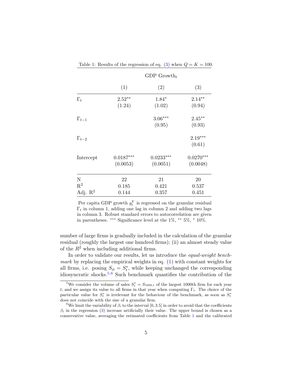|                     | GDP Growth <sub>t</sub> |             |             |
|---------------------|-------------------------|-------------|-------------|
|                     | (1)                     | (2)         | (3)         |
| $\Gamma_t$          | $2.52**$                | $1.84*$     | $2.14**$    |
|                     | (1.24)                  | (1.02)      | (0.94)      |
| $\Gamma_{t-1}$      |                         | $3.06***$   | $2.45**$    |
|                     |                         | (0.95)      | (0.93)      |
| $\Gamma_{t-2}$      |                         |             | $2.19***$   |
|                     |                         |             | (0.61)      |
| Intercept           | $0.0187***$             | $0.0233***$ | $0.0270***$ |
|                     | (0.0053)                | (0.0051)    | (0.0048)    |
| N                   | 22                      | 21          | 20          |
| $\mathbf{R}^2$      | 0.185                   | 0.421       | 0.537       |
| Adj. $\mathbb{R}^2$ | 0.144                   | 0.357       | 0.451       |

Table 1: Results of the regression of eq. (3) when  $Q = K = 100$ .

Per capita GDP growth  $g_t^Y$  is regressed on the granular residual  $\Gamma_t$  in column 1, adding one lag in column 2 and adding two lags in column 3. Robust standard errors to autocorrelation are given in parentheses. ∗∗∗ Significance level at the 1%, ∗∗ 5%, <sup>∗</sup> 10%.

number of large firms is gradually included in the calculation of the granular residual (roughly the largest one hundred firms); (ii) an almost steady value of the  $R^2$  when including additional firms.

In order to validate our results, let us introduce the equal-weight benchmark by replacing the empirical weights in eq.  $(1)$  with constant weights for all firms, i.e. posing  $S_{it} = S_t^*$  $t<sup>*</sup>$ , while keeping unchanged the corresponding idiosyncratic shocks.<sup>5,6</sup> Such benchmark quantifies the contribution of the

<sup>&</sup>lt;sup>5</sup>We consider the volume of sales  $S_t^* = S_{1000,t}$  of the largest 1000th firm for each year t, and we assign its value to all firms in that year when computing  $\Gamma_t$ . The choice of the particular value for  $S_t^*$  is irrelevant for the behaviour of the benchmark, as soon as  $S_t^*$ does not coincide with the size of a granular firm.

<sup>&</sup>lt;sup>6</sup>We limit the variability of  $\beta_i$  to the interval [0, 3.5] in order to avoid that the coefficients  $\beta_i$  in the regression (3) increase artificially their value. The upper bound is chosen as a conservative value, averaging the estimated coefficients from Table 1 and the calibrated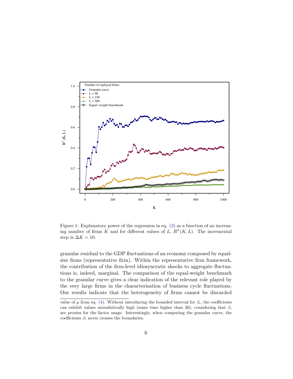

Figure 1: Explanatory power of the regression in eq. (3) as a function of an increasing number of firms K and for different values of L,  $R^2(K, L)$ . The incremental step is  $\Delta K = 10$ .

granular residual to the GDP fluctuations of an economy composed by equalsize firms (representative firm). Within the representative firm framework, the contribution of the firm-level idiosyncratic shocks to aggregate fluctuations is, indeed, marginal. The comparison of the equal-weight benchmark to the granular curve gives a clear indication of the relevant role played by the very large firms in the characterisation of business cycle fluctuations. Our results indicate that the heterogeneity of firms cannot be discarded

value of  $\mu$  from eq. (4). Without introducing the bounded interval for  $\beta_i$ , the coefficients can exhibit values unrealistically high (some time higher than 30), considering that  $\beta_i$ are proxies for the factor usage. Interestingly, when computing the granular curve, the coefficients  $\beta_i$  never crosses the boundaries.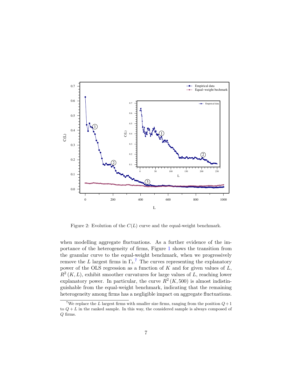

Figure 2: Evolution of the  $C(L)$  curve and the equal-weight benchmark.

when modelling aggregate fluctuations. As a further evidence of the importance of the heterogeneity of firms, Figure 1 shows the transition from the granular curve to the equal-weight benchmark, when we progressively remove the L largest firms in  $\Gamma_t$ <sup>7</sup>. The curves representing the explanatory power of the OLS regression as a function of  $K$  and for given values of  $L$ ,  $R^2(K, L)$ , exhibit smoother curvatures for large values of L, reaching lower explanatory power. In particular, the curve  $R^2 (K, 500)$  is almost indistinguishable from the equal-weight benchmark, indicating that the remaining heterogeneity among firms has a negligible impact on aggregate fluctuations.

<sup>&</sup>lt;sup>7</sup>We replace the L largest firms with smaller size firms, ranging from the position  $Q+1$ to  $Q + L$  in the ranked sample. In this way, the considered sample is always composed of Q firms.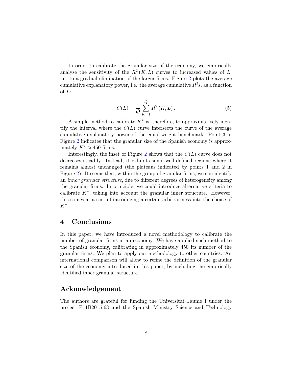In order to calibrate the granular size of the economy, we empirically analyse the sensitivity of the  $R^2(K, L)$  curves to increased values of L, i.e. to a gradual elimination of the larger firms. Figure 2 plots the average cumulative explanatory power, i.e. the average cumulative  $R^2$ s, as a function of L:

$$
C(L) = \frac{1}{Q} \sum_{K=1}^{Q} R^{2} (K, L).
$$
 (5)

A simple method to calibrate  $K^*$  is, therefore, to approximatively identify the interval where the  $C(L)$  curve intersects the curve of the average cumulative explanatory power of the equal-weight benchmark. Point 3 in Figure 2 indicates that the granular size of the Spanish economy is approximately  $K^* \approx 450$  firms.

Interestingly, the inset of Figure 2 shows that the  $C(L)$  curve does not decreases steadily. Instead, it exhibits some well-defined regions where it remains almost unchanged (the plateaus indicated by points 1 and 2 in Figure 2). It seems that, within the group of granular firms, we can identify an inner granular structure, due to different degrees of heterogeneity among the granular firms. In principle, we could introduce alternative criteria to calibrate  $K^*$ , taking into account the granular inner structure. However, this comes at a cost of introducing a certain arbitrariness into the choice of  $K^*$ .

## 4 Conclusions

In this paper, we have introduced a novel methodology to calibrate the number of granular firms in an economy. We have applied such method to the Spanish economy, calibrating in approximately 450 its number of the granular firms. We plan to apply our methodology to other countries. An international comparison will allow to refine the definition of the granular size of the economy introduced in this paper, by including the empirically identified inner granular structure.

## Acknowledgement

The authors are grateful for funding the Universitat Jaume I under the project P11B2015-63 and the Spanish Ministry Science and Technology